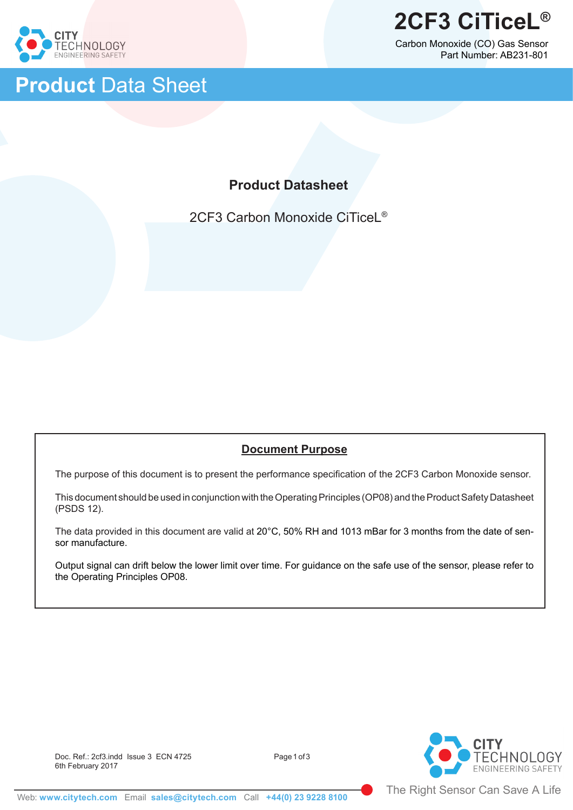

Ï

# **Product** Data Sheet

Carbon Monoxide (CO) Gas Sensor Part Number: AB231-801

# **Product Datasheet**

2CF3 Carbon Monoxide CiTiceL®

## **Document Purpose**

The purpose of this document is to present the performance specification of the 2CF3 Carbon Monoxide sensor.

This document should be used in conjunction with the Operating Principles (OP08) and the Product Safety Datasheet (PSDS 12).

The data provided in this document are valid at 20°C, 50% RH and 1013 mBar for 3 months from the date of sensor manufacture.

Output signal can drift below the lower limit over time. For guidance on the safe use of the sensor, please refer to the Operating Principles OP08.



Doc. Ref.: 2cf3.indd Issue 3 ECN 4725 6th February 2017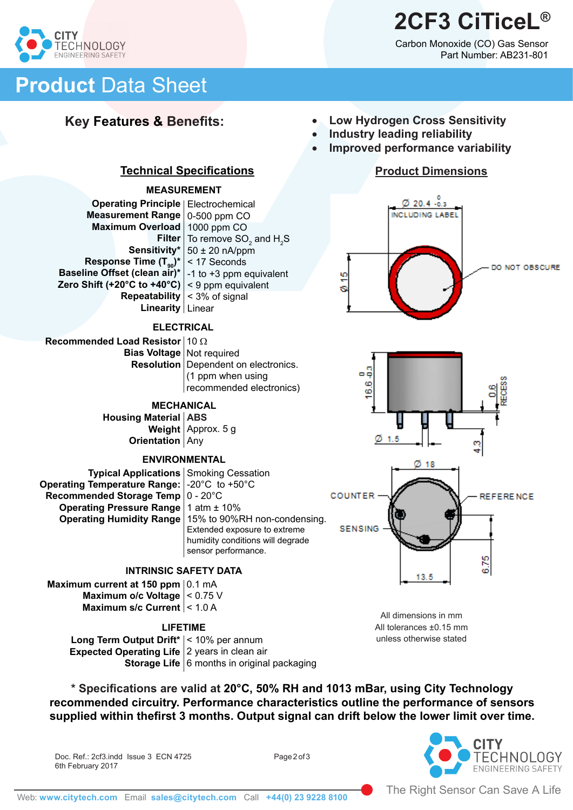# **2CF3 CiTiceL®**

Carbon Monoxide (CO) Gas Sensor Part Number: AB231-801



# **Product** Data Sheet

## **Key Features & Benefits:**

- **Low Hydrogen Cross Sensitivity**
- **Industry leading reliability**

۰ÿ 6 ؋

**COUNTER** 

**SENSING** 

 $\emptyset$  1.5

**Improved performance variability** 

## **Product Dimensions**





**Repeatability**  $|$  < 3% of signal Linear **Linearity**

**Technical Specifications**

**MEASUREMENT**

**Sensitivity**\*  $\vert$  50  $\pm$  20 nA/ppm

**Filter** To remove SO<sub>2</sub> and H<sub>2</sub>S

**Operating Principle** | Electrochemical **Measurement Range** | 0-500 ppm CO **Maximum Overload** | 1000 ppm CO

**Response Time (T** $_{90}$ **)\*** | < 17 Seconds **Baseline Offset (clean air)\*** | -1 to +3 ppm equivalent **Zero Shift (+20°C to +40°C)** | < 9 ppm equivalent

**Recommended Load Resistor** ∣ 10 Ω **Bias Voltage** Not required **Resolution** Dependent on electronics. (1 ppm when using recommended electronics)

### **MECHANICAL**

**Housing Material | ABS Weight** | Approx. 5 g **Orientation** | Any

### **ENVIRONMENTAL**

**Typical Applications** | Smoking Cessation **Operating Temperature Range: |-20°C** to +50°C **Recommended Storage Temp** | 0 - 20°C **Operating Pressure Range** | 1 atm ± 10% **Operating Humidity Range** | 15% to 90%RH non-condensing. Extended exposure to extreme humidity conditions will degrade sensor performance.

### **INTRINSIC SAFETY DATA**

**Maximum current at 150 ppm**  $\vert$  0.1 mA **Maximum o/c Voltage**  $|$  < 0.75 V **Maximum s/c Current** |< 1.0 A

### **LIFETIME**

**Long Term Output Drift\*** < 10% per annum **Expected Operating Life** 2 years in clean air **Storage Life** 6 months in original packaging

**\* Specifications are valid at 20°C, 50% RH and 1013 mBar, using City Technology recommended circuitry. Performance characteristics outline the performance of sensors supplied within thefirst 3 months. Output signal can drift below the lower limit over time.** 

Doc. Ref.: 2cf3.indd Issue 3 ECN 4725 6th February 2017



**REFERENCE** 

676

All dimensions in mm All tolerances ±0.15 mm unless otherwise stated

13.5